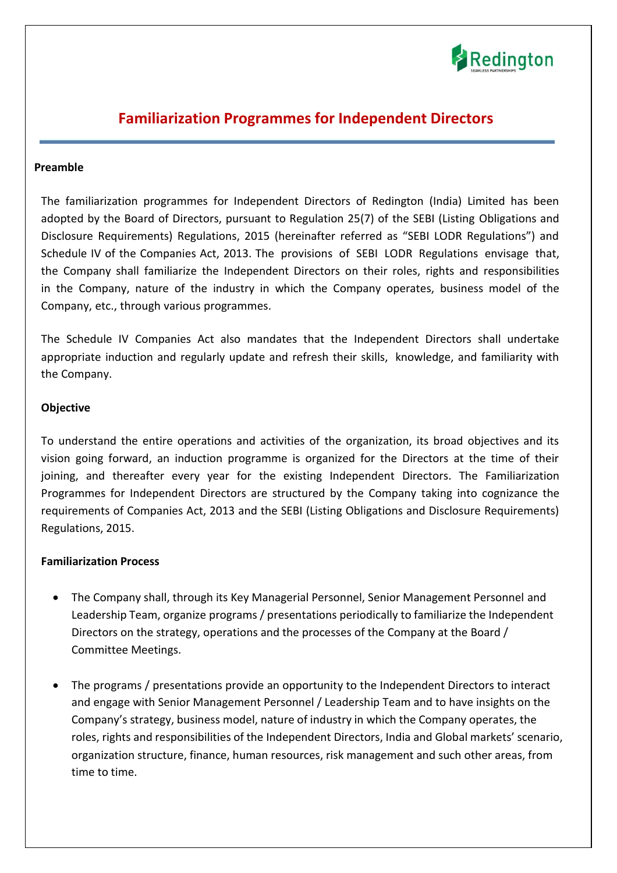

# **Familiarization Programmes for Independent Directors**

#### **Preamble**

The familiarization programmes for Independent Directors of Redington (India) Limited has been adopted by the Board of Directors, pursuant to Regulation 25(7) of the SEBI (Listing Obligations and Disclosure Requirements) Regulations, 2015 (hereinafter referred as "SEBI LODR Regulations") and Schedule IV of the Companies Act, 2013. The provisions of SEBI LODR Regulations envisage that, the Company shall familiarize the Independent Directors on their roles, rights and responsibilities in the Company, nature of the industry in which the Company operates, business model of the Company, etc., through various programmes.

The Schedule IV Companies Act also mandates that the Independent Directors shall undertake appropriate induction and regularly update and refresh their skills, knowledge, and familiarity with the Company.

#### **Objective**

To understand the entire operations and activities of the organization, its broad objectives and its vision going forward, an induction programme is organized for the Directors at the time of their joining, and thereafter every year for the existing Independent Directors. The Familiarization Programmes for Independent Directors are structured by the Company taking into cognizance the requirements of Companies Act, 2013 and the SEBI (Listing Obligations and Disclosure Requirements) Regulations, 2015.

#### **Familiarization Process**

- The Company shall, through its Key Managerial Personnel, Senior Management Personnel and Leadership Team, organize programs / presentations periodically to familiarize the Independent Directors on the strategy, operations and the processes of the Company at the Board / Committee Meetings.
- The programs / presentations provide an opportunity to the Independent Directors to interact and engage with Senior Management Personnel / Leadership Team and to have insights on the Company's strategy, business model, nature of industry in which the Company operates, the roles, rights and responsibilities of the Independent Directors, India and Global markets' scenario, organization structure, finance, human resources, risk management and such other areas, from time to time.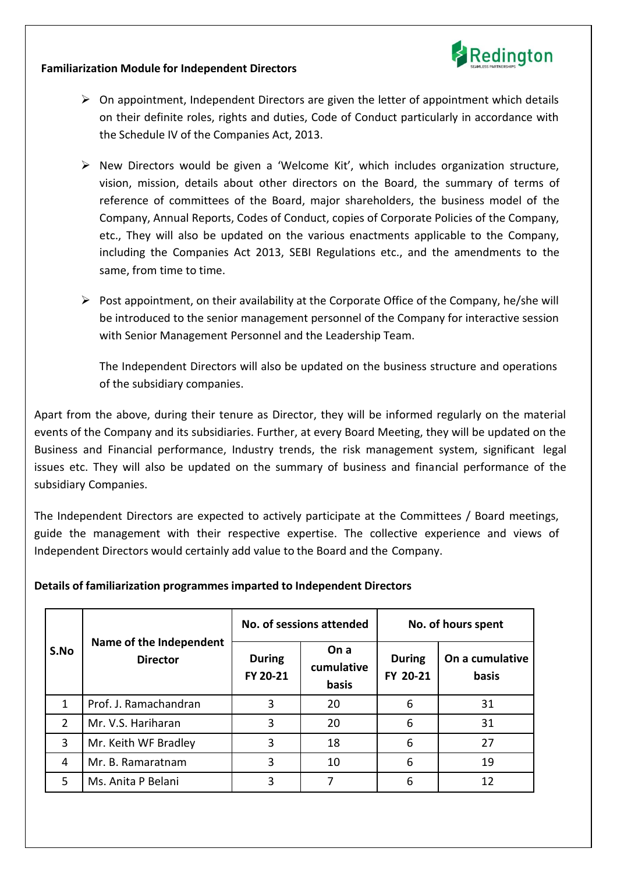

#### **Familiarization Module for Independent Directors**

- $\triangleright$  On appointment, Independent Directors are given the letter of appointment which details on their definite roles, rights and duties, Code of Conduct particularly in accordance with the Schedule IV of the Companies Act, 2013.
- $\triangleright$  New Directors would be given a 'Welcome Kit', which includes organization structure, vision, mission, details about other directors on the Board, the summary of terms of reference of committees of the Board, major shareholders, the business model of the Company, Annual Reports, Codes of Conduct, copies of Corporate Policies of the Company, etc., They will also be updated on the various enactments applicable to the Company, including the Companies Act 2013, SEBI Regulations etc., and the amendments to the same, from time to time.
- $\triangleright$  Post appointment, on their availability at the Corporate Office of the Company, he/she will be introduced to the senior management personnel of the Company for interactive session with Senior Management Personnel and the Leadership Team.

The Independent Directors will also be updated on the business structure and operations of the subsidiary companies.

Apart from the above, during their tenure as Director, they will be informed regularly on the material events of the Company and its subsidiaries. Further, at every Board Meeting, they will be updated on the Business and Financial performance, Industry trends, the risk management system, significant legal issues etc. They will also be updated on the summary of business and financial performance of the subsidiary Companies.

The Independent Directors are expected to actively participate at the Committees / Board meetings, guide the management with their respective expertise. The collective experience and views of Independent Directors would certainly add value to the Board and the Company.

### **Details of familiarization programmes imparted to Independent Directors**

| S.No           | Name of the Independent<br><b>Director</b> | No. of sessions attended  |                             | No. of hours spent        |                          |
|----------------|--------------------------------------------|---------------------------|-----------------------------|---------------------------|--------------------------|
|                |                                            | <b>During</b><br>FY 20-21 | On a<br>cumulative<br>basis | <b>During</b><br>FY 20-21 | On a cumulative<br>basis |
| $\mathbf{1}$   | Prof. J. Ramachandran                      | 3                         | 20                          | 6                         | 31                       |
| $\overline{2}$ | Mr. V.S. Hariharan                         | 3                         | 20                          | 6                         | 31                       |
| $\overline{3}$ | Mr. Keith WF Bradley                       | 3                         | 18                          | 6                         | 27                       |
| 4              | Mr. B. Ramaratnam                          | 3                         | 10                          | 6                         | 19                       |
| 5              | Ms. Anita P Belani                         | 3                         |                             | 6                         | 12                       |